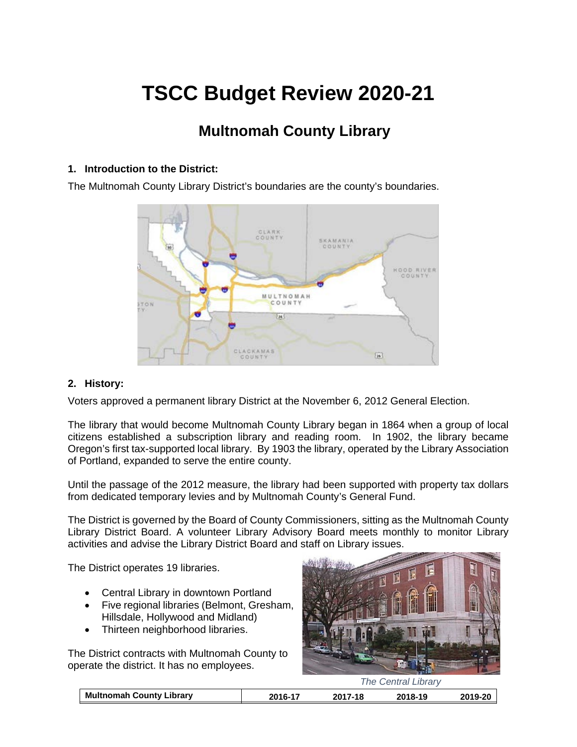# **TSCC Budget Review 2020-21**

### **Multnomah County Library**

#### **1. Introduction to the District:**

The Multnomah County Library District's boundaries are the county's boundaries.



#### **2. History:**

Voters approved a permanent library District at the November 6, 2012 General Election.

The library that would become Multnomah County Library began in 1864 when a group of local citizens established a subscription library and reading room. In 1902, the library became Oregon's first tax-supported local library. By 1903 the library, operated by the Library Association of Portland, expanded to serve the entire county.

Until the passage of the 2012 measure, the library had been supported with property tax dollars from dedicated temporary levies and by Multnomah County's General Fund.

The District is governed by the Board of County Commissioners, sitting as the Multnomah County Library District Board. A volunteer Library Advisory Board meets monthly to monitor Library activities and advise the Library District Board and staff on Library issues.

The District operates 19 libraries.

- Central Library in downtown Portland
- Five regional libraries (Belmont, Gresham, Hillsdale, Hollywood and Midland)
- Thirteen neighborhood libraries.

The District contracts with Multnomah County to operate the district. It has no employees.



*The Central Library*

|  | <b>Multnomah</b><br>. Countv<br>∟ibrarv | 2016-17 | 2017<br><b>40</b><br>н.<br>. . | .19<br>ገበ1Ջ-<br>201 | 2019-20 |
|--|-----------------------------------------|---------|--------------------------------|---------------------|---------|
|--|-----------------------------------------|---------|--------------------------------|---------------------|---------|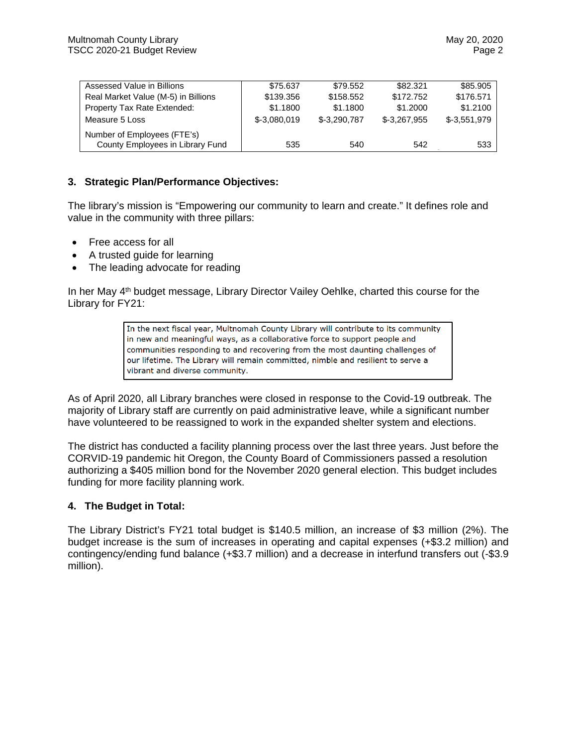| Assessed Value in Billions          | \$75.637      | \$79.552      | \$82.321     | \$85,905     |
|-------------------------------------|---------------|---------------|--------------|--------------|
| Real Market Value (M-5) in Billions | \$139,356     | \$158.552     | \$172.752    | \$176.571    |
| Property Tax Rate Extended:         | \$1,1800      | \$1,1800      | \$1,2000     | \$1,2100     |
| Measure 5 Loss                      | $$-3,080,019$ | $$-3.290.787$ | \$-3.267.955 | \$-3.551.979 |
| Number of Employees (FTE's)         |               |               |              |              |
| County Employees in Library Fund    | 535           | 540           | 542          | 533          |

#### **3. Strategic Plan/Performance Objectives:**

The library's mission is "Empowering our community to learn and create." It defines role and value in the community with three pillars:

- Free access for all
- A trusted guide for learning
- The leading advocate for reading

In her May 4th budget message, Library Director Vailey Oehlke, charted this course for the Library for FY21:

> In the next fiscal year, Multnomah County Library will contribute to its community in new and meaningful ways, as a collaborative force to support people and communities responding to and recovering from the most daunting challenges of our lifetime. The Library will remain committed, nimble and resilient to serve a vibrant and diverse community.

As of April 2020, all Library branches were closed in response to the Covid-19 outbreak. The majority of Library staff are currently on paid administrative leave, while a significant number have volunteered to be reassigned to work in the expanded shelter system and elections.

The district has conducted a facility planning process over the last three years. Just before the CORVID-19 pandemic hit Oregon, the County Board of Commissioners passed a resolution authorizing a \$405 million bond for the November 2020 general election. This budget includes funding for more facility planning work.

#### **4. The Budget in Total:**

The Library District's FY21 total budget is \$140.5 million, an increase of \$3 million (2%). The budget increase is the sum of increases in operating and capital expenses (+\$3.2 million) and contingency/ending fund balance (+\$3.7 million) and a decrease in interfund transfers out (-\$3.9 million).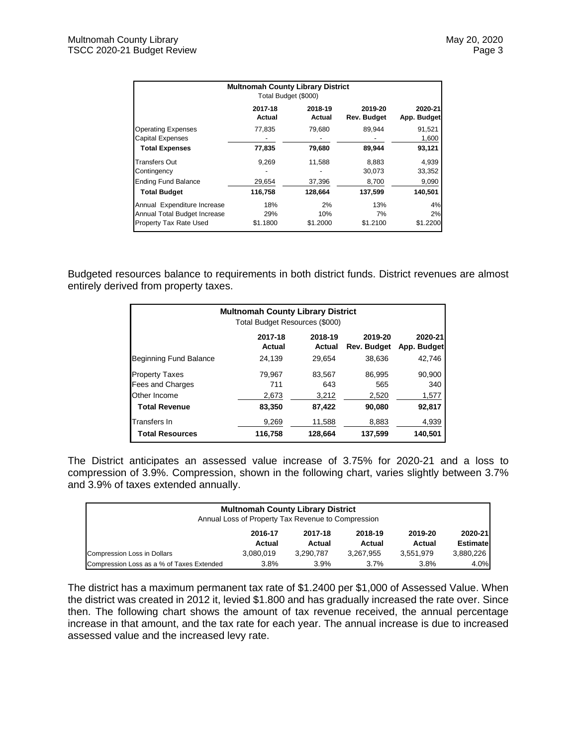|                              | <b>Multnomah County Library District</b><br>Total Budget (\$000) |                   |                        |                        |
|------------------------------|------------------------------------------------------------------|-------------------|------------------------|------------------------|
|                              | 2017-18<br>Actual                                                | 2018-19<br>Actual | 2019-20<br>Rev. Budget | 2020-21<br>App. Budget |
| <b>Operating Expenses</b>    | 77.835                                                           | 79.680            | 89.944                 | 91,521                 |
| <b>Capital Expenses</b>      |                                                                  |                   |                        | 1,600                  |
| <b>Total Expenses</b>        | 77,835                                                           | 79,680            | 89,944                 | 93,121                 |
| Transfers Out                | 9,269                                                            | 11,588            | 8,883                  | 4,939                  |
| Contingency                  |                                                                  |                   | 30,073                 | 33,352                 |
| <b>Ending Fund Balance</b>   | 29,654                                                           | 37,396            | 8,700                  | 9,090                  |
| <b>Total Budget</b>          | 116,758                                                          | 128,664           | 137,599                | 140,501                |
| Annual Expenditure Increase  | 18%                                                              | 2%                | 13%                    | 4%                     |
| Annual Total Budget Increase | 29%                                                              | 10%               | 7%                     | 2%                     |
| Property Tax Rate Used       | \$1.1800                                                         | \$1.2000          | \$1.2100               | \$1.2200               |

Budgeted resources balance to requirements in both district funds. District revenues are almost entirely derived from property taxes.

| <b>Multnomah County Library District</b><br>Total Budget Resources (\$000) |                          |                   |                               |                        |  |  |  |
|----------------------------------------------------------------------------|--------------------------|-------------------|-------------------------------|------------------------|--|--|--|
|                                                                            | 2017-18<br><b>Actual</b> | 2018-19<br>Actual | 2019-20<br><b>Rev. Budget</b> | 2020-21<br>App. Budget |  |  |  |
| Beginning Fund Balance                                                     | 24.139                   | 29.654            | 38.636                        | 42.746                 |  |  |  |
| <b>Property Taxes</b>                                                      | 79.967                   | 83.567            | 86.995                        | 90,900                 |  |  |  |
| Fees and Charges                                                           | 711                      | 643               | 565                           | 340                    |  |  |  |
| Other Income                                                               | 3,212                    | 2,520             | 1,577                         |                        |  |  |  |
| <b>Total Revenue</b>                                                       | 83.350                   | 87,422            | 90,080                        | 92,817                 |  |  |  |
| Transfers In<br>9,269<br>11,588<br>8,883<br>4,939                          |                          |                   |                               |                        |  |  |  |
| <b>Total Resources</b>                                                     | 116,758                  | 128,664           | 137,599                       | 140,501                |  |  |  |

The District anticipates an assessed value increase of 3.75% for 2020-21 and a loss to compression of 3.9%. Compression, shown in the following chart, varies slightly between 3.7% and 3.9% of taxes extended annually.

| <b>Multnomah County Library District</b><br>Annual Loss of Property Tax Revenue to Compression      |           |           |           |           |           |  |
|-----------------------------------------------------------------------------------------------------|-----------|-----------|-----------|-----------|-----------|--|
| 2017-18<br>2018-19<br>2019-20<br>2016-17<br><b>Estimate</b><br>Actual<br>Actual<br>Actual<br>Actual |           |           |           |           |           |  |
| <b>Compression Loss in Dollars</b>                                                                  | 3.080.019 | 3.290.787 | 3.267.955 | 3,551,979 | 3,880,226 |  |
| Compression Loss as a % of Taxes Extended                                                           | 3.8%      | 3.9%      | 3.7%      | 3.8%      | 4.0%      |  |

The district has a maximum permanent tax rate of \$1.2400 per \$1,000 of Assessed Value. When the district was created in 2012 it, levied \$1.800 and has gradually increased the rate over. Since then. The following chart shows the amount of tax revenue received, the annual percentage increase in that amount, and the tax rate for each year. The annual increase is due to increased assessed value and the increased levy rate.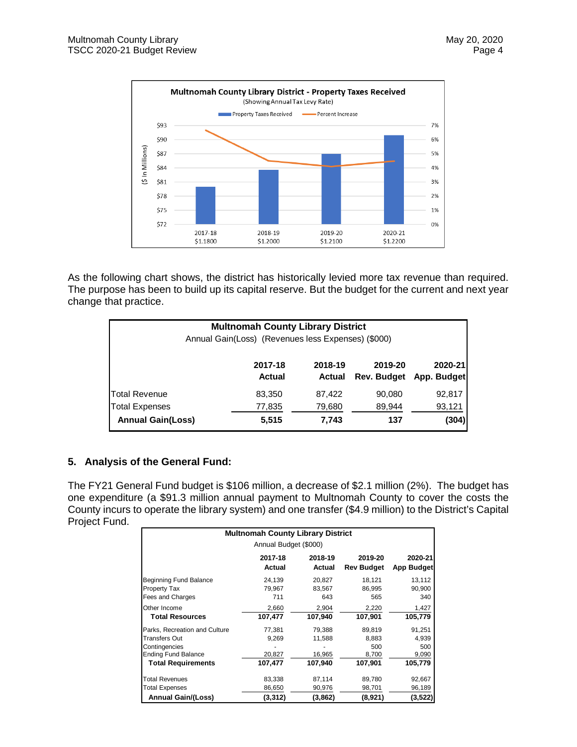

As the following chart shows, the district has historically levied more tax revenue than required. The purpose has been to build up its capital reserve. But the budget for the current and next year change that practice.

| <b>Multnomah County Library District</b><br>Annual Gain(Loss) (Revenues less Expenses) (\$000) |                                                                                                          |        |        |        |  |  |
|------------------------------------------------------------------------------------------------|----------------------------------------------------------------------------------------------------------|--------|--------|--------|--|--|
|                                                                                                | 2020-21<br>2017-18<br>2018-19<br>2019-20<br><b>Actual</b><br>Rev. Budget<br>App. Budget<br><b>Actual</b> |        |        |        |  |  |
| <b>Total Revenue</b>                                                                           | 83,350                                                                                                   | 87,422 | 90,080 | 92,817 |  |  |
| <b>Total Expenses</b><br>77,835<br>79,680                                                      |                                                                                                          |        |        | 93,121 |  |  |
| <b>Annual Gain(Loss)</b>                                                                       | 5,515                                                                                                    | 7,743  | 137    | (304)  |  |  |

#### **5. Analysis of the General Fund:**

The FY21 General Fund budget is \$106 million, a decrease of \$2.1 million (2%). The budget has one expenditure (a \$91.3 million annual payment to Multnomah County to cover the costs the County incurs to operate the library system) and one transfer (\$4.9 million) to the District's Capital Project Fund.

|                               | <b>Multnomah County Library District</b> |                   |                              |                       |  |  |  |  |  |
|-------------------------------|------------------------------------------|-------------------|------------------------------|-----------------------|--|--|--|--|--|
|                               | Annual Budget (\$000)                    |                   |                              |                       |  |  |  |  |  |
|                               | 2017-18<br>Actual                        | 2018-19<br>Actual | 2019-20<br><b>Rev Budget</b> | 2020-21<br>App Budget |  |  |  |  |  |
| Beginning Fund Balance        | 24,139                                   | 20,827            | 18,121                       | 13,112                |  |  |  |  |  |
| <b>Property Tax</b>           | 79,967                                   | 83,567            | 86,995                       | 90,900                |  |  |  |  |  |
| Fees and Charges              | 711                                      | 643               | 565                          | 340                   |  |  |  |  |  |
| Other Income                  | 2,660                                    | 2,904             | 2,220                        | 1,427                 |  |  |  |  |  |
| <b>Total Resources</b>        | 107.477                                  | 107.940           | 107,901                      | 105,779               |  |  |  |  |  |
| Parks, Recreation and Culture | 77,381                                   | 79,388            | 89,819                       | 91,251                |  |  |  |  |  |
| <b>Transfers Out</b>          | 9,269                                    | 11,588            | 8,883                        | 4,939                 |  |  |  |  |  |
| Contingencies                 |                                          |                   | 500                          | 500                   |  |  |  |  |  |
| <b>Ending Fund Balance</b>    | 20,827                                   | 16,965            | 8,700                        | 9,090                 |  |  |  |  |  |
| <b>Total Requirements</b>     | 107,477                                  | 107.940           | 107,901                      | 105,779               |  |  |  |  |  |
| <b>Total Revenues</b>         | 83,338                                   | 87,114            | 89,780                       | 92,667                |  |  |  |  |  |
| <b>Total Expenses</b>         | 86,650                                   | 90,976            | 98,701                       | 96,189                |  |  |  |  |  |
| <b>Annual Gain/(Loss)</b>     | (3,312)                                  | (3, 862)          | (8,921)                      | (3,522)               |  |  |  |  |  |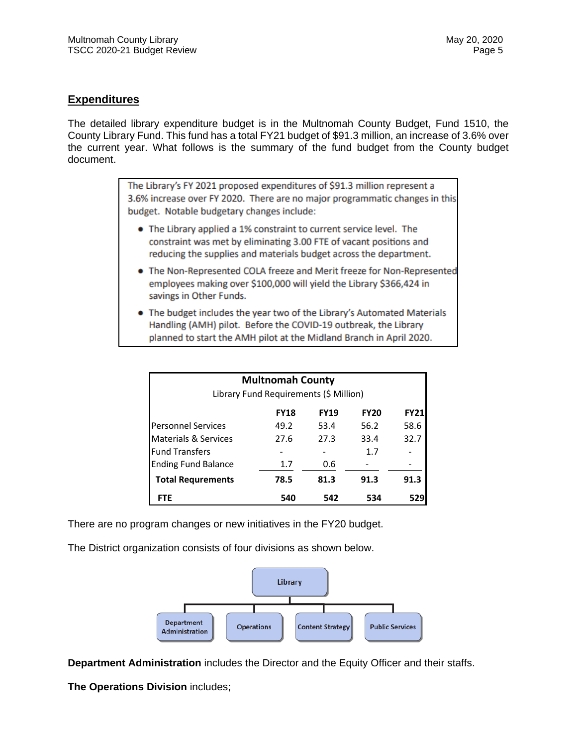#### **Expenditures**

The detailed library expenditure budget is in the Multnomah County Budget, Fund 1510, the County Library Fund. This fund has a total FY21 budget of \$91.3 million, an increase of 3.6% over the current year. What follows is the summary of the fund budget from the County budget document.

> The Library's FY 2021 proposed expenditures of \$91.3 million represent a 3.6% increase over FY 2020. There are no major programmatic changes in this budget. Notable budgetary changes include:

- The Library applied a 1% constraint to current service level. The constraint was met by eliminating 3.00 FTE of vacant positions and reducing the supplies and materials budget across the department.
- The Non-Represented COLA freeze and Merit freeze for Non-Represented employees making over \$100,000 will yield the Library \$366,424 in savings in Other Funds.
- The budget includes the year two of the Library's Automated Materials Handling (AMH) pilot. Before the COVID-19 outbreak, the Library planned to start the AMH pilot at the Midland Branch in April 2020.

| <b>Multnomah County</b><br>Library Fund Requirements (\$ Million) |                                                          |      |            |      |  |  |  |  |  |  |
|-------------------------------------------------------------------|----------------------------------------------------------|------|------------|------|--|--|--|--|--|--|
|                                                                   | <b>FY20</b><br><b>FY21</b><br><b>FY18</b><br><b>FY19</b> |      |            |      |  |  |  |  |  |  |
| <b>Personnel Services</b>                                         | 49.2                                                     | 53.4 | 56.2       | 58.6 |  |  |  |  |  |  |
| <b>Materials &amp; Services</b><br>32.7<br>27.3<br>33.4<br>27.6   |                                                          |      |            |      |  |  |  |  |  |  |
| <b>Fund Transfers</b>                                             | 1.7                                                      |      |            |      |  |  |  |  |  |  |
| <b>Ending Fund Balance</b><br>0.6<br>1.7                          |                                                          |      |            |      |  |  |  |  |  |  |
| <b>Total Requrements</b><br>81.3<br>91.3<br>91.3<br>78.5          |                                                          |      |            |      |  |  |  |  |  |  |
| <b>FTE</b>                                                        | 540                                                      | 542  | 534<br>529 |      |  |  |  |  |  |  |

There are no program changes or new initiatives in the FY20 budget.

The District organization consists of four divisions as shown below.



**Department Administration** includes the Director and the Equity Officer and their staffs.

**The Operations Division** includes;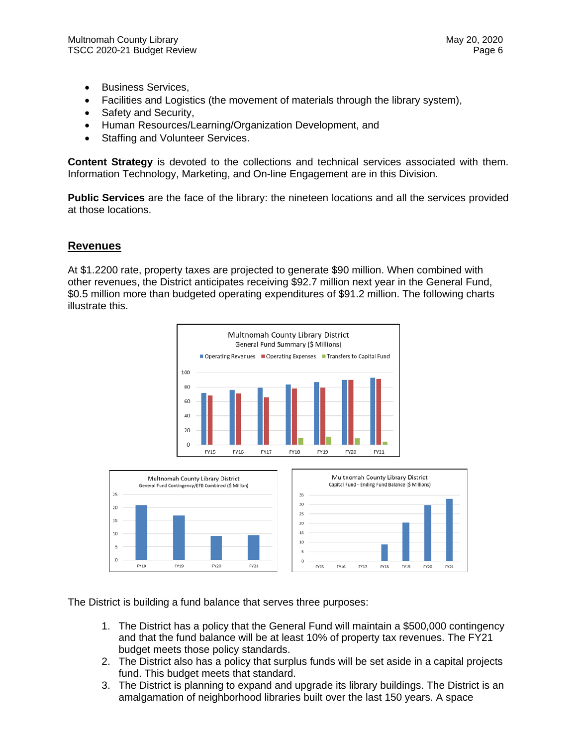- Business Services,
- Facilities and Logistics (the movement of materials through the library system),
- Safety and Security,
- Human Resources/Learning/Organization Development, and
- Staffing and Volunteer Services.

**Content Strategy** is devoted to the collections and technical services associated with them. Information Technology, Marketing, and On-line Engagement are in this Division.

**Public Services** are the face of the library: the nineteen locations and all the services provided at those locations.

#### **Revenues**

At \$1.2200 rate, property taxes are projected to generate \$90 million. When combined with other revenues, the District anticipates receiving \$92.7 million next year in the General Fund, \$0.5 million more than budgeted operating expenditures of \$91.2 million. The following charts illustrate this.





The District is building a fund balance that serves three purposes:

- 1. The District has a policy that the General Fund will maintain a \$500,000 contingency and that the fund balance will be at least 10% of property tax revenues. The FY21 budget meets those policy standards.
- 2. The District also has a policy that surplus funds will be set aside in a capital projects fund. This budget meets that standard.
- 3. The District is planning to expand and upgrade its library buildings. The District is an amalgamation of neighborhood libraries built over the last 150 years. A space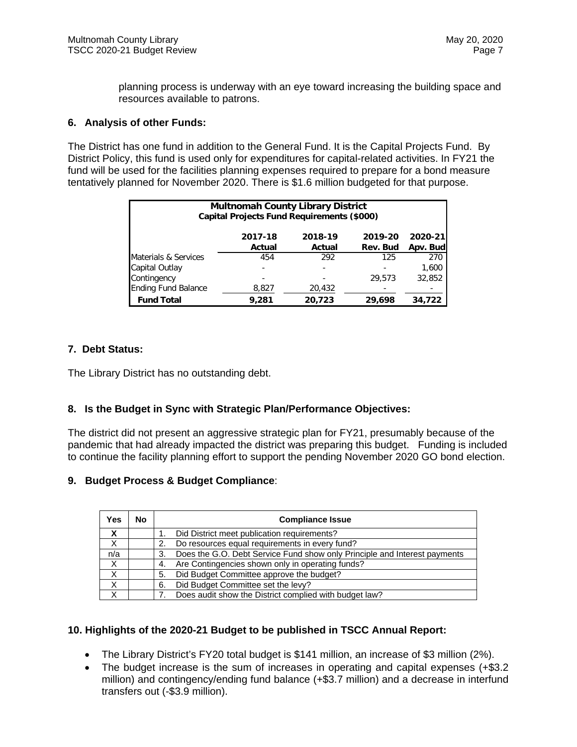planning process is underway with an eye toward increasing the building space and resources available to patrons.

#### **6. Analysis of other Funds:**

The District has one fund in addition to the General Fund. It is the Capital Projects Fund. By District Policy, this fund is used only for expenditures for capital-related activities. In FY21 the fund will be used for the facilities planning expenses required to prepare for a bond measure tentatively planned for November 2020. There is \$1.6 million budgeted for that purpose.

| <b>Multnomah County Library District</b><br>Capital Projects Fund Requirements (\$000) |                   |                   |                     |                     |  |  |  |  |
|----------------------------------------------------------------------------------------|-------------------|-------------------|---------------------|---------------------|--|--|--|--|
|                                                                                        | 2017-18<br>Actual | 2018-19<br>Actual | 2019-20<br>Rev. Bud | 2020-21<br>Apv. Bud |  |  |  |  |
| Materials & Services                                                                   | 454               | 292               | 125                 | 270                 |  |  |  |  |
| Capital Outlay                                                                         |                   |                   |                     | 1,600               |  |  |  |  |
| Contingency                                                                            |                   |                   | 29,573              | 32,852              |  |  |  |  |
| <b>Ending Fund Balance</b><br>20,432<br>8,827                                          |                   |                   |                     |                     |  |  |  |  |
| <b>Fund Total</b>                                                                      | 9.281             | 20.723            | 29,698              | 34,722              |  |  |  |  |

#### **7. Debt Status:**

The Library District has no outstanding debt.

#### **8. Is the Budget in Sync with Strategic Plan/Performance Objectives:**

The district did not present an aggressive strategic plan for FY21, presumably because of the pandemic that had already impacted the district was preparing this budget. Funding is included to continue the facility planning effort to support the pending November 2020 GO bond election.

#### **9. Budget Process & Budget Compliance**:

| Yes          | <b>No</b> | <b>Compliance Issue</b>                                                         |
|--------------|-----------|---------------------------------------------------------------------------------|
| Х            |           | Did District meet publication requirements?                                     |
| X            |           | Do resources equal requirements in every fund?                                  |
| n/a          |           | Does the G.O. Debt Service Fund show only Principle and Interest payments<br>3. |
| X            |           | Are Contingencies shown only in operating funds?<br>4.                          |
| Χ            |           | Did Budget Committee approve the budget?<br>5.                                  |
| X            |           | Did Budget Committee set the levy?<br>6.                                        |
| $\checkmark$ |           | Does audit show the District complied with budget law?                          |

#### **10. Highlights of the 2020-21 Budget to be published in TSCC Annual Report:**

- The Library District's FY20 total budget is \$141 million, an increase of \$3 million (2%).
- The budget increase is the sum of increases in operating and capital expenses (+\$3.2 million) and contingency/ending fund balance (+\$3.7 million) and a decrease in interfund transfers out (-\$3.9 million).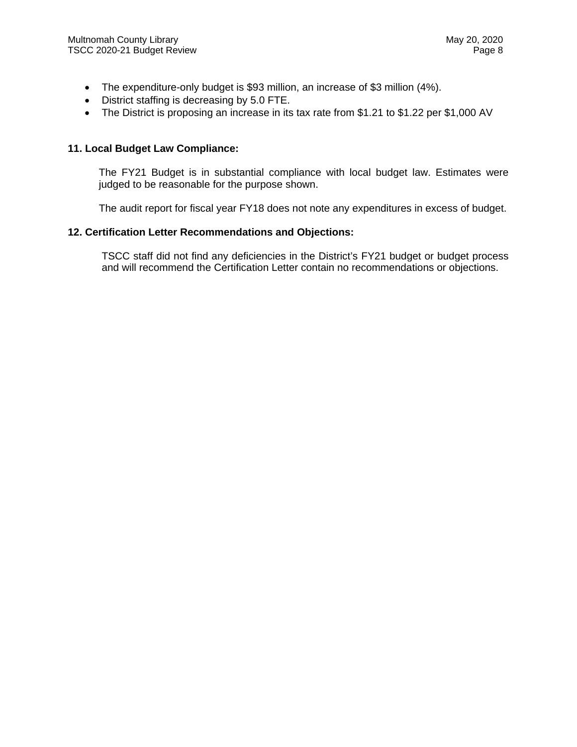- The expenditure-only budget is \$93 million, an increase of \$3 million (4%).
- District staffing is decreasing by 5.0 FTE.
- The District is proposing an increase in its tax rate from \$1.21 to \$1.22 per \$1,000 AV

#### **11. Local Budget Law Compliance:**

The FY21 Budget is in substantial compliance with local budget law. Estimates were judged to be reasonable for the purpose shown.

The audit report for fiscal year FY18 does not note any expenditures in excess of budget.

#### **12. Certification Letter Recommendations and Objections:**

TSCC staff did not find any deficiencies in the District's FY21 budget or budget process and will recommend the Certification Letter contain no recommendations or objections.